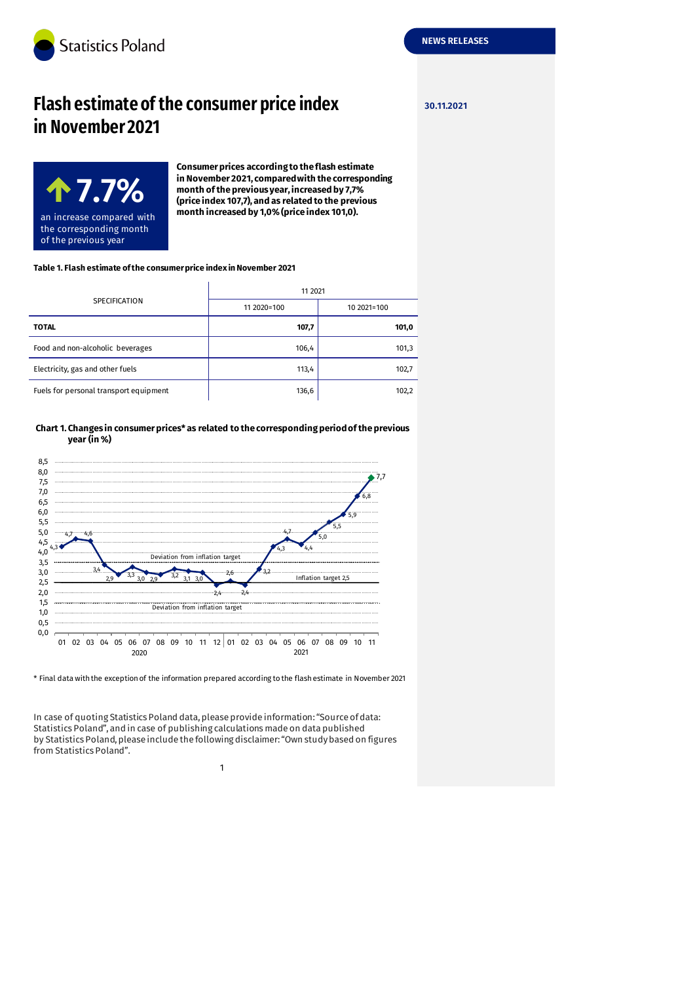

# **Flash estimate of the consumer price index 30.11.2021 in November 2021**



**Consumer prices according to the flash estimate in November 2021, compared with the corresponding month of the previous year, increased by 7,7% (price index 107,7), and as related to the previous month increased by 1,0% (price index 101,0).**

#### **Table 1. Flash estimate of the consumer price index in November 2021**

| <b>SPECIFICATION</b>                   | 11 2021     |             |
|----------------------------------------|-------------|-------------|
|                                        | 11 2020=100 | 10 2021=100 |
| <b>TOTAL</b>                           | 107,7       | 101,0       |
| Food and non-alcoholic beverages       | 106,4       | 101,3       |
| Electricity, gas and other fuels       | 113,4       | 102,7       |
| Fuels for personal transport equipment | 136,6       | 102,2       |

**Chart 1. Changes in consumer prices\* as related to the corresponding period of the previous year (in %)**



\* Final data with the exception of the information prepared according to the flash estimate in November 2021

In case of quoting Statistics Poland data, please provide information: "Source of data: Statistics Poland", and in case of publishing calculations made on data published by Statistics Poland, please include the following disclaimer: "Own study based on figures from Statistics Poland".

1